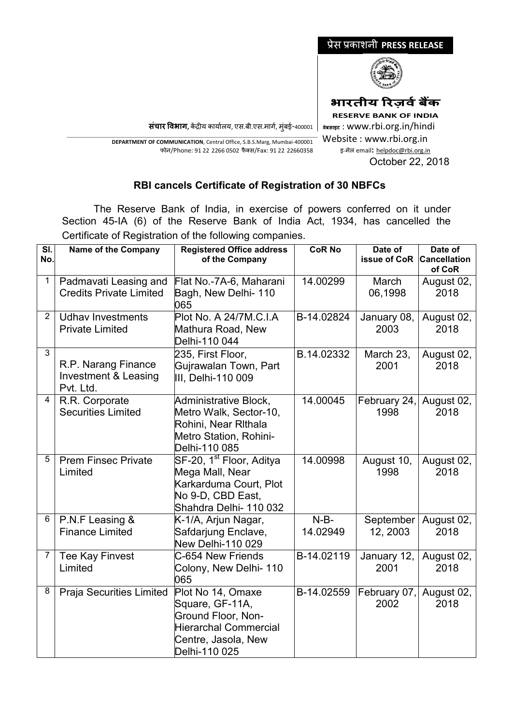

**संचार विभाग,** केंद्रीय कार्यालय, एस.बी.एस.मार्ग, मुंबई-400001 | \_\_\_\_\_\_\_\_\_\_\_\_\_\_\_\_\_\_\_\_\_\_\_\_\_\_\_\_\_\_\_\_\_\_\_\_\_\_\_\_\_\_\_\_\_\_\_\_\_\_\_\_\_\_\_\_\_\_\_\_\_\_\_\_\_\_\_\_\_\_\_\_\_\_\_\_\_\_\_\_\_\_\_\_\_\_\_\_\_\_\_\_\_\_\_\_\_\_\_\_\_\_\_\_\_\_\_\_\_\_\_\_\_\_\_\_\_ **DEPARTMENT OF COMMUNICATION**, Central Office, S.B.S.Marg, Mumbai-400001

फोन/Phone: 91 22 2266 0502 फै क्स/Fax: 91 22 22660358

## <sup>इ</sup>-मेल email**:** [helpdoc@rbi.org.in](mailto:helpdoc@rbi.org.in) October 22, 2018

## **RBI cancels Certificate of Registration of 30 NBFCs**

 The Reserve Bank of India, in exercise of powers conferred on it under Section 45-IA (6) of the Reserve Bank of India Act, 1934, has cancelled the Certificate of Registration of the following companies.

| $\overline{\mathsf{SI}}$ .<br>No. | <b>Name of the Company</b>                               | <b>Registered Office address</b><br>of the Company                                                                                 | <b>CoR No</b>      | Date of<br>issue of CoR | Date of<br><b>Cancellation</b><br>of CoR |
|-----------------------------------|----------------------------------------------------------|------------------------------------------------------------------------------------------------------------------------------------|--------------------|-------------------------|------------------------------------------|
| $\mathbf 1$                       | Padmavati Leasing and<br><b>Credits Private Limited</b>  | Flat No.-7A-6, Maharani<br>Bagh, New Delhi- 110<br>065                                                                             | 14.00299           | March<br>06,1998        | August 02,<br>2018                       |
| $\overline{2}$                    | <b>Udhav Investments</b><br><b>Private Limited</b>       | Plot No. A 24/7M.C.I.A<br>Mathura Road, New<br>Delhi-110 044                                                                       | B-14.02824         | January 08,<br>2003     | August 02,<br>2018                       |
| $\overline{3}$                    | R.P. Narang Finance<br>Investment & Leasing<br>Pvt. Ltd. | 235, First Floor,<br>Gujrawalan Town, Part<br>III, Delhi-110 009                                                                   | B.14.02332         | March 23,<br>2001       | August 02,<br>2018                       |
| 4                                 | R.R. Corporate<br><b>Securities Limited</b>              | <b>Administrative Block,</b><br>Metro Walk, Sector-10,<br>Rohini, Near Rithala<br>Metro Station, Rohini-<br>Delhi-110 085          | 14.00045           | February 24,<br>1998    | August 02,<br>2018                       |
| 5                                 | <b>Prem Finsec Private</b><br>Limited                    | SF-20, 1 <sup>st</sup> Floor, Aditya<br>Mega Mall, Near<br>Karkarduma Court, Plot<br>No 9-D, CBD East,<br>Shahdra Delhi- 110 032   | 14.00998           | August 10,<br>1998      | August 02,<br>2018                       |
| 6                                 | P.N.F Leasing &<br><b>Finance Limited</b>                | K-1/A, Arjun Nagar,<br>Safdarjung Enclave,<br>New Delhi-110 029                                                                    | $N-B-$<br>14.02949 | September<br>12, 2003   | August 02,<br>2018                       |
| $\overline{7}$                    | <b>Tee Kay Finvest</b><br>Limited                        | C-654 New Friends<br>Colony, New Delhi- 110<br>065                                                                                 | B-14.02119         | January 12,<br>2001     | August 02,<br>2018                       |
| 8                                 | Praja Securities Limited                                 | Plot No 14, Omaxe<br>Square, GF-11A,<br>Ground Floor, Non-<br><b>Hierarchal Commercial</b><br>Centre, Jasola, New<br>Delhi-110 025 | B-14.02559         | February 07,<br>2002    | August 02,<br>2018                       |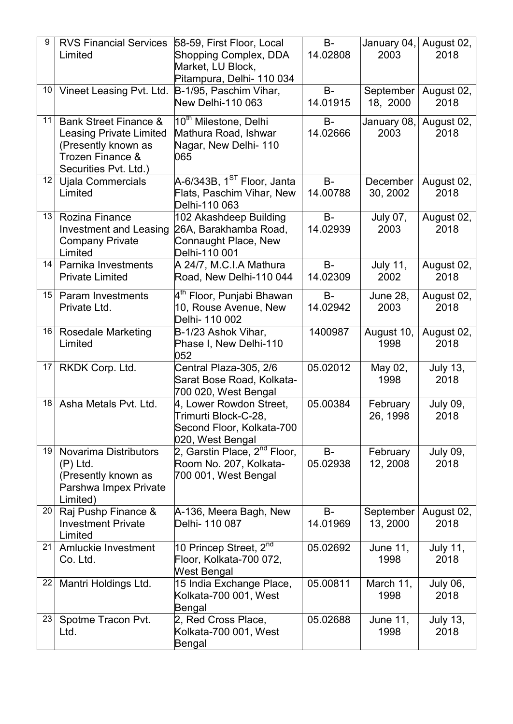| 9               | <b>RVS Financial Services</b><br>Limited                                                                                               | 58-59, First Floor, Local<br>Shopping Complex, DDA<br>Market, LU Block,<br>Pitampura, Delhi- 110 034 | <b>B-</b><br>14.02808 | January 04,<br>2003     | August 02,<br>2018      |
|-----------------|----------------------------------------------------------------------------------------------------------------------------------------|------------------------------------------------------------------------------------------------------|-----------------------|-------------------------|-------------------------|
| 10 <sup>°</sup> | Vineet Leasing Pvt. Ltd. B-1/95, Paschim Vihar,                                                                                        | New Delhi-110 063                                                                                    | <b>B-</b><br>14.01915 | September<br>18, 2000   | August 02,<br>2018      |
| 11              | <b>Bank Street Finance &amp;</b><br><b>Leasing Private Limited</b><br>(Presently known as<br>Trozen Finance &<br>Securities Pvt. Ltd.) | 10 <sup>th</sup> Milestone, Delhi<br>Mathura Road, Ishwar<br>Nagar, New Delhi-110<br>065             | <b>B-</b><br>14.02666 | January 08,<br>2003     | August 02,<br>2018      |
| 12 <sup>°</sup> | <b>Ujala Commercials</b><br>Limited                                                                                                    | A-6/343B, 1 <sup>ST</sup> Floor, Janta<br>Flats, Paschim Vihar, New<br>Delhi-110 063                 | $B -$<br>14.00788     | December<br>30, 2002    | August 02,<br>2018      |
| 13              | Rozina Finance<br><b>Investment and Leasing</b><br><b>Company Private</b><br>Limited                                                   | 102 Akashdeep Building<br>26A, Barakhamba Road,<br>Connaught Place, New<br>Delhi-110 001             | $B -$<br>14.02939     | <b>July 07,</b><br>2003 | August 02,<br>2018      |
| 14              | Parnika Investments<br><b>Private Limited</b>                                                                                          | A 24/7, M.C.I.A Mathura<br>Road, New Delhi-110 044                                                   | $B -$<br>14.02309     | <b>July 11,</b><br>2002 | August 02,<br>2018      |
| 15              | <b>Param Investments</b><br>Private Ltd.                                                                                               | 4 <sup>th</sup> Floor, Punjabi Bhawan<br>10, Rouse Avenue, New<br>Delhi- 110 002                     | <b>B-</b><br>14.02942 | <b>June 28,</b><br>2003 | August 02,<br>2018      |
| 16              | <b>Rosedale Marketing</b><br>Limited                                                                                                   | B-1/23 Ashok Vihar,<br>Phase I, New Delhi-110<br>052                                                 | 1400987               | August 10,<br>1998      | August 02,<br>2018      |
| 17              | RKDK Corp. Ltd.                                                                                                                        | Central Plaza-305, 2/6<br>Sarat Bose Road, Kolkata-<br>700 020, West Bengal                          | 05.02012              | May 02,<br>1998         | <b>July 13,</b><br>2018 |
| 18              | Asha Metals Pvt. Ltd.                                                                                                                  | 4, Lower Rowdon Street,<br>Trimurti Block-C-28,<br>Second Floor, Kolkata-700<br>020, West Bengal     | 05.00384              | February<br>26, 1998    | <b>July 09,</b><br>2018 |
| 19              | <b>Novarima Distributors</b><br>$(P)$ Ltd.<br>(Presently known as<br>Parshwa Impex Private<br>Limited)                                 | 2, Garstin Place, 2 <sup>nd</sup> Floor,<br>Room No. 207, Kolkata-<br>700 001, West Bengal           | <b>B-</b><br>05.02938 | February<br>12, 2008    | <b>July 09,</b><br>2018 |
| 20              | Raj Pushp Finance &<br><b>Investment Private</b><br>Limited                                                                            | A-136, Meera Bagh, New<br>Delhi- 110 087                                                             | <b>B-</b><br>14.01969 | September<br>13, 2000   | August 02,<br>2018      |
| 21              | Amluckie Investment<br>Co. Ltd.                                                                                                        | 10 Princep Street, 2 <sup>nd</sup><br>Floor, Kolkata-700 072,<br><b>West Bengal</b>                  | 05.02692              | June 11,<br>1998        | <b>July 11,</b><br>2018 |
| 22              | Mantri Holdings Ltd.                                                                                                                   | 15 India Exchange Place,<br>Kolkata-700 001, West<br>Bengal                                          | 05.00811              | March 11,<br>1998       | <b>July 06,</b><br>2018 |
| 23              | Spotme Tracon Pvt.<br>Ltd.                                                                                                             | 2, Red Cross Place,<br>Kolkata-700 001, West<br>Bengal                                               | 05.02688              | June 11,<br>1998        | <b>July 13,</b><br>2018 |